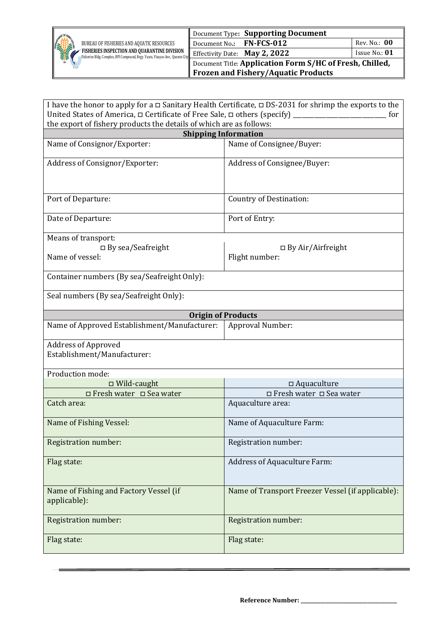

| I have the honor to apply for a $\Box$ Sanitary Health Certificate, $\Box$ DS-2031 for shrimp the exports to the |                                                   |  |  |
|------------------------------------------------------------------------------------------------------------------|---------------------------------------------------|--|--|
| United States of America, $\Box$ Certificate of Free Sale, $\Box$ others (specify) $\Box$<br>for                 |                                                   |  |  |
| the export of fishery products the details of which are as follows:                                              |                                                   |  |  |
|                                                                                                                  | <b>Shipping Information</b>                       |  |  |
| Name of Consignor/Exporter:                                                                                      | Name of Consignee/Buyer:                          |  |  |
| Address of Consignor/Exporter:                                                                                   | Address of Consignee/Buyer:                       |  |  |
| Port of Departure:                                                                                               | <b>Country of Destination:</b>                    |  |  |
| Date of Departure:                                                                                               | Port of Entry:                                    |  |  |
| Means of transport:                                                                                              |                                                   |  |  |
| $\Box$ By sea/Seafreight                                                                                         | $\Box$ By Air/Airfreight                          |  |  |
| Name of vessel:                                                                                                  | Flight number:                                    |  |  |
| Container numbers (By sea/Seafreight Only):                                                                      |                                                   |  |  |
| Seal numbers (By sea/Seafreight Only):                                                                           |                                                   |  |  |
|                                                                                                                  | <b>Origin of Products</b>                         |  |  |
| Name of Approved Establishment/Manufacturer:                                                                     | Approval Number:                                  |  |  |
| <b>Address of Approved</b><br>Establishment/Manufacturer:                                                        |                                                   |  |  |
| Production mode:                                                                                                 |                                                   |  |  |
| □ Wild-caught                                                                                                    | $\Box$ Aquaculture                                |  |  |
| □ Fresh water □ Sea water                                                                                        | □ Fresh water □ Sea water                         |  |  |
| Catch area:                                                                                                      | Aquaculture area:                                 |  |  |
| Name of Fishing Vessel:                                                                                          | Name of Aquaculture Farm:                         |  |  |
| Registration number:                                                                                             | Registration number:                              |  |  |
| Flag state:                                                                                                      | <b>Address of Aquaculture Farm:</b>               |  |  |
| Name of Fishing and Factory Vessel (if<br>applicable):                                                           | Name of Transport Freezer Vessel (if applicable): |  |  |
| Registration number:                                                                                             | <b>Registration number:</b>                       |  |  |
| Flag state:                                                                                                      | Flag state:                                       |  |  |

**Reference Number: \_\_\_\_\_\_\_\_\_\_\_\_\_\_\_\_\_\_\_\_\_\_\_\_\_\_\_\_\_\_\_\_\_\_\_\_\_\_\_**